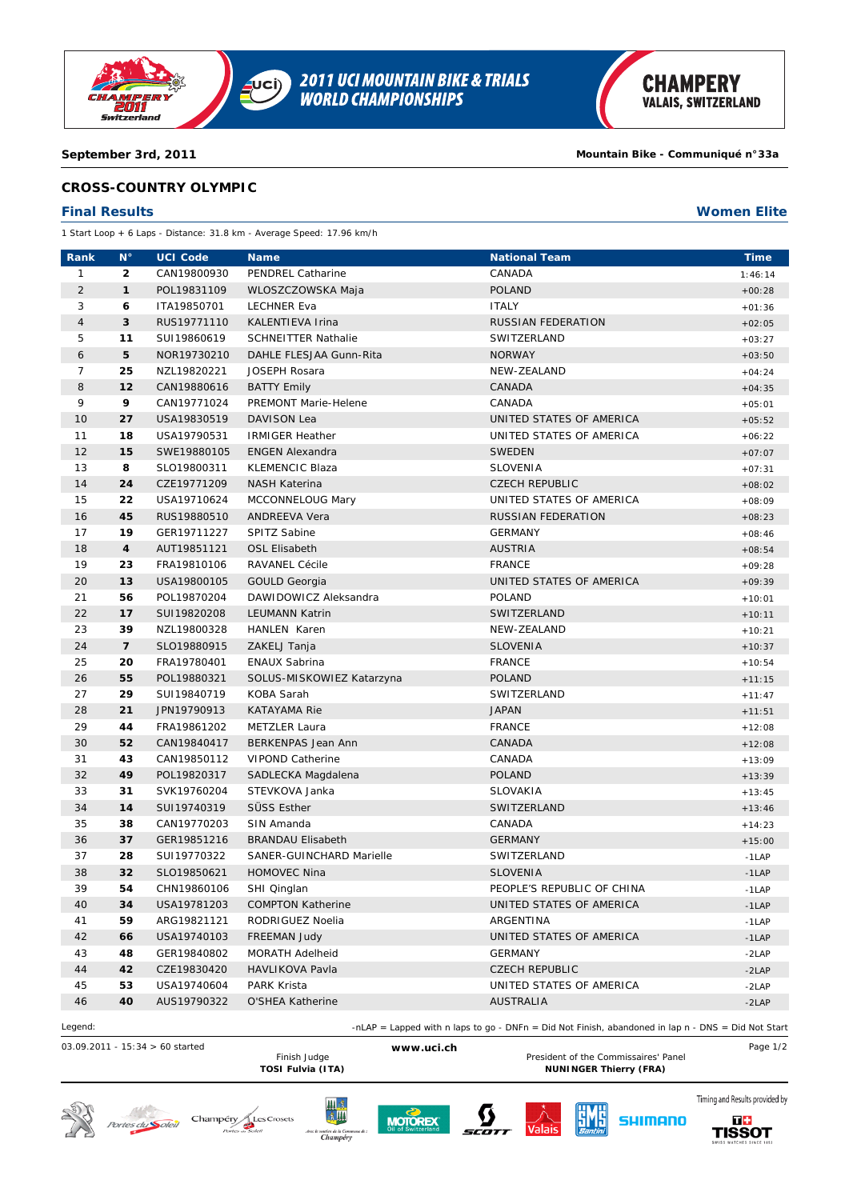

## **September 3rd, 2011 Mountain Bike - Communiqué n°33a**

## **CROSS-COUNTRY OLYMPIC**

## **Final Results Women Elite**

1 Start Loop + 6 Laps - Distance: 31.8 km - Average Speed: 17.96 km/h

| Rank           | $N^{\circ}$              | <b>UCI Code</b> | <b>Name</b>                 | <b>National Team</b>       | <b>Time</b> |
|----------------|--------------------------|-----------------|-----------------------------|----------------------------|-------------|
| 1              | $\mathbf{2}$             | CAN19800930     | PENDREL Catharine           | CANADA                     | 1:46:14     |
| $\sqrt{2}$     | $\mathbf{1}$             | POL19831109     | WLOSZCZOWSKA Maja           | <b>POLAND</b>              | $+00:28$    |
| 3              | 6                        | ITA19850701     | <b>LECHNER Eva</b>          | <b>ITALY</b>               | $+01:36$    |
| $\overline{4}$ | 3                        | RUS19771110     | KALENTIEVA Irina            | <b>RUSSIAN FEDERATION</b>  | $+02:05$    |
| 5              | 11                       | SUI19860619     | <b>SCHNEITTER Nathalie</b>  | SWITZERLAND                | $+03:27$    |
| 6              | 5                        | NOR19730210     | DAHLE FLESJAA Gunn-Rita     | <b>NORWAY</b>              | $+03:50$    |
| $\overline{7}$ | 25                       | NZL19820221     | <b>JOSEPH Rosara</b>        | NEW-ZEALAND                | $+04:24$    |
| 8              | 12                       | CAN19880616     | <b>BATTY Emily</b>          | CANADA                     | $+04:35$    |
| 9              | 9                        | CAN19771024     | <b>PREMONT Marie-Helene</b> | CANADA                     | $+05:01$    |
| 10             | 27                       | USA19830519     | <b>DAVISON Lea</b>          | UNITED STATES OF AMERICA   | $+05:52$    |
| 11             | 18                       | USA19790531     | <b>IRMIGER Heather</b>      | UNITED STATES OF AMERICA   | $+06:22$    |
| 12             | 15                       | SWE19880105     | <b>ENGEN Alexandra</b>      | <b>SWEDEN</b>              | $+07:07$    |
| 13             | 8                        | SLO19800311     | <b>KLEMENCIC Blaza</b>      | SLOVENIA                   | $+07:31$    |
| 14             | 24                       | CZE19771209     | <b>NASH Katerina</b>        | <b>CZECH REPUBLIC</b>      | $+08:02$    |
| 15             | 22                       | USA19710624     | MCCONNELOUG Mary            | UNITED STATES OF AMERICA   | $+08:09$    |
| 16             | 45                       | RUS19880510     | <b>ANDREEVA Vera</b>        | <b>RUSSIAN FEDERATION</b>  | $+08:23$    |
| 17             | 19                       | GER19711227     | SPITZ Sabine                | <b>GERMANY</b>             | $+08:46$    |
| 18             | 4                        | AUT19851121     | <b>OSL Elisabeth</b>        | <b>AUSTRIA</b>             | $+08:54$    |
| 19             | 23                       | FRA19810106     | <b>RAVANEL Cécile</b>       | <b>FRANCE</b>              | $+09:28$    |
| 20             | 13                       | USA19800105     | <b>GOULD Georgia</b>        | UNITED STATES OF AMERICA   | $+09:39$    |
| 21             | 56                       | POL19870204     | DAWIDOWICZ Aleksandra       | POLAND                     | $+10:01$    |
| 22             | 17                       | SUI19820208     | <b>LEUMANN Katrin</b>       | SWITZERLAND                | $+10:11$    |
| 23             | 39                       | NZL19800328     | <b>HANLEN Karen</b>         | NEW-ZEALAND                | $+10:21$    |
| 24             | $\overline{\phantom{a}}$ | SLO19880915     | ZAKELJ Tanja                | <b>SLOVENIA</b>            | $+10:37$    |
| 25             | 20                       | FRA19780401     | <b>ENAUX Sabrina</b>        | <b>FRANCE</b>              | $+10:54$    |
| 26             | 55                       | POL19880321     | SOLUS-MISKOWIEZ Katarzyna   | <b>POLAND</b>              | $+11:15$    |
| 27             | 29                       | SUI19840719     | KOBA Sarah                  | SWITZERLAND                | $+11:47$    |
| 28             | 21                       | JPN19790913     | <b>KATAYAMA Rie</b>         | <b>JAPAN</b>               | $+11:51$    |
| 29             | 44                       | FRA19861202     | <b>METZLER Laura</b>        | <b>FRANCE</b>              | $+12:08$    |
| 30             | 52                       | CAN19840417     | BERKENPAS Jean Ann          | CANADA                     | $+12:08$    |
| 31             | 43                       | CAN19850112     | <b>VIPOND Catherine</b>     | CANADA                     | $+13:09$    |
| 32             | 49                       | POL19820317     | SADLECKA Magdalena          | <b>POLAND</b>              | $+13:39$    |
| 33             | 31                       | SVK19760204     | STEVKOVA Janka              | <b>SLOVAKIA</b>            | $+13:45$    |
| 34             | 14                       | SUI19740319     | SÜSS Esther                 | SWITZERLAND                | $+13:46$    |
| 35             | 38                       | CAN19770203     | SIN Amanda                  | CANADA                     | $+14:23$    |
| 36             | 37                       | GER19851216     | <b>BRANDAU Elisabeth</b>    | <b>GERMANY</b>             | $+15:00$    |
| 37             | 28                       | SUI19770322     | SANER-GUINCHARD Marielle    | SWITZERLAND                | $-1$ LAP    |
| 38             | 32                       | SLO19850621     | HOMOVEC Nina                | <b>SLOVENIA</b>            | $-1$ LAP    |
| 39             | 54                       | CHN19860106     | SHI Qinglan                 | PEOPLE'S REPUBLIC OF CHINA | $-1$ LAP    |
| 40             | 34                       | USA19781203     | <b>COMPTON Katherine</b>    | UNITED STATES OF AMERICA   | $-1$ LAP    |
| 41             | 59                       | ARG19821121     | RODRIGUEZ Noelia            | ARGENTINA                  | $-1$ LAP    |
| 42             | 66                       | USA19740103     | <b>FREEMAN Judy</b>         | UNITED STATES OF AMERICA   | $-1$ LAP    |
| 43             | 48                       | GER19840802     | MORATH Adelheid             | GERMANY                    | $-2LAP$     |
| 44             | 42                       | CZE19830420     | HAVLIKOVA Pavla             | <b>CZECH REPUBLIC</b>      | $-2LAP$     |
| 45             | 53                       | USA19740604     | PARK Krista                 | UNITED STATES OF AMERICA   | $-2LAP$     |
| 46             | 40                       | AUS19790322     | O'SHEA Katherine            | AUSTRALIA                  | $-2LAP$     |
|                |                          |                 |                             |                            |             |

Legend: -nLAP = Lapped with n laps to go - DNFn = Did Not Finish, abandoned in lap n - DNS = Did Not Start

03.09.2011 - 15:34 > 60 started **www.uci.ch** Page 1/2 Finish Judge **Example 20 WWW.ucl.cn**<br>TOSI Fulvia (ITA) **President of the Commissaires' Panel**<br>NUNINGER Thierry (FRA) **NUNINGER Thierry (FRA)** 















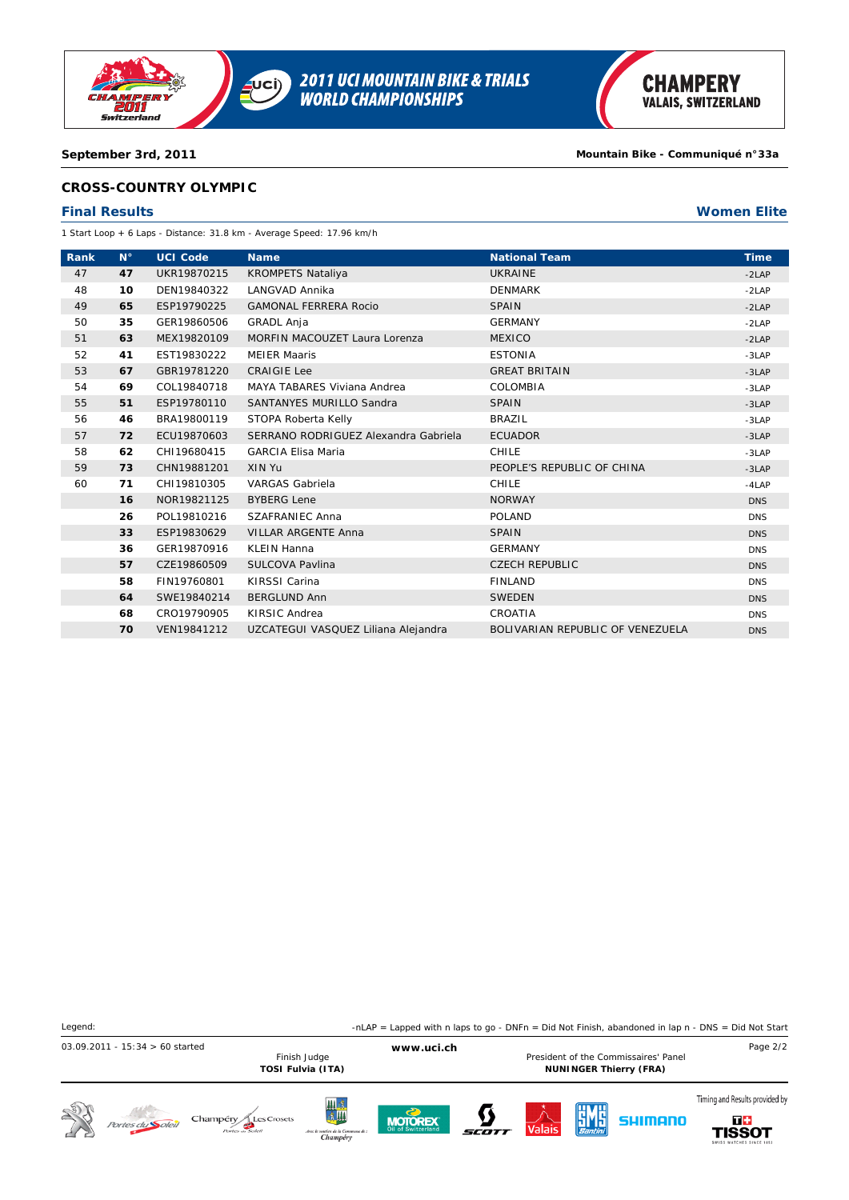

**2011 UCI MOUNTAIN BIKE & TRIALS<br>WORLD CHAMPIONSHIPS**  $\overline{\mathbf{C}}$ 

### **September 3rd, 2011 Mountain Bike - Communiqué n°33a**

## **CROSS-COUNTRY OLYMPIC**

### **Final Results Women Elite**

1 Start Loop + 6 Laps - Distance: 31.8 km - Average Speed: 17.96 km/h

| Rank | $N^{\circ}$ | <b>UCI Code</b> | <b>Name</b>                          | <b>National Team</b>             | <b>Time</b> |
|------|-------------|-----------------|--------------------------------------|----------------------------------|-------------|
| 47   | 47          | UKR19870215     | <b>KROMPETS Nataliya</b>             | <b>UKRAINE</b>                   | $-2LAP$     |
| 48   | 10          | DEN19840322     | LANGVAD Annika                       | <b>DENMARK</b>                   | $-2LAP$     |
| 49   | 65          | ESP19790225     | <b>GAMONAL FERRERA Rocio</b>         | <b>SPAIN</b>                     | $-2LAP$     |
| 50   | 35          | GER19860506     | <b>GRADL Anja</b>                    | <b>GERMANY</b>                   | $-2LAP$     |
| 51   | 63          | MEX19820109     | MORFIN MACOUZET Laura Lorenza        | <b>MEXICO</b>                    | $-2LAP$     |
| 52   | 41          | EST19830222     | <b>MEIER Maaris</b>                  | <b>ESTONIA</b>                   | $-3LAP$     |
| 53   | 67          | GBR19781220     | <b>CRAIGIE Lee</b>                   | <b>GREAT BRITAIN</b>             | $-3LAP$     |
| 54   | 69          | COL19840718     | MAYA TABARES Viviana Andrea          | COLOMBIA                         | $-3LAP$     |
| 55   | 51          | ESP19780110     | SANTANYES MURILLO Sandra             | <b>SPAIN</b>                     | $-3LAP$     |
| 56   | 46          | BRA19800119     | STOPA Roberta Kelly                  | <b>BRAZIL</b>                    | $-3LAP$     |
| 57   | 72          | ECU19870603     | SERRANO RODRIGUEZ Alexandra Gabriela | <b>ECUADOR</b>                   | $-3LAP$     |
| 58   | 62          | CHI19680415     | <b>GARCIA Elisa Maria</b>            | <b>CHILE</b>                     | $-3LAP$     |
| 59   | 73          | CHN19881201     | XIN Yu                               | PEOPLE'S REPUBLIC OF CHINA       | $-3LAP$     |
| 60   | 71          | CHI19810305     | <b>VARGAS Gabriela</b>               | <b>CHILE</b>                     | $-4LAP$     |
|      | 16          | NOR19821125     | <b>BYBERG Lene</b>                   | <b>NORWAY</b>                    | <b>DNS</b>  |
|      | 26          | POL19810216     | <b>SZAFRANIEC Anna</b>               | <b>POLAND</b>                    | <b>DNS</b>  |
|      | 33          | ESP19830629     | <b>VILLAR ARGENTE Anna</b>           | <b>SPAIN</b>                     | <b>DNS</b>  |
|      | 36          | GER19870916     | <b>KLEIN Hanna</b>                   | <b>GERMANY</b>                   | <b>DNS</b>  |
|      | 57          | CZE19860509     | SULCOVA Pavlina                      | <b>CZECH REPUBLIC</b>            | <b>DNS</b>  |
|      | 58          | FIN19760801     | KIRSSI Carina                        | <b>FINLAND</b>                   | <b>DNS</b>  |
|      | 64          | SWE19840214     | <b>BERGLUND Ann</b>                  | <b>SWEDEN</b>                    | <b>DNS</b>  |
|      | 68          | CRO19790905     | KIRSIC Andrea                        | CROATIA                          | <b>DNS</b>  |
|      | 70          | VEN19841212     | UZCATEGUI VASQUEZ Liliana Alejandra  | BOLIVARIAN REPUBLIC OF VENEZUELA | <b>DNS</b>  |

| Legend:                                                                |                                                                                                    | -nLAP = Lapped with n laps to go - DNFn = Did Not Finish, abandoned in lap $n - DNS = Did Not Start$ |                                                                                      |  |  |  |  |
|------------------------------------------------------------------------|----------------------------------------------------------------------------------------------------|------------------------------------------------------------------------------------------------------|--------------------------------------------------------------------------------------|--|--|--|--|
| $03.09.2011 - 15:34 > 60$ started<br>Finish Judge<br>TOSI Fulvia (ITA) | www.uci.ch                                                                                         | President of the Commissaires' Panel<br><b>NUNINGER Thierry (FRA)</b>                                | Page 2/2                                                                             |  |  |  |  |
| Champéry<br>Les Crosets<br>Portes du <b>Soleil</b>                     | 川永<br>金川<br><b>MOTOREX</b><br>Oil of Switzerland<br>Avec le soutien de la Commune de :<br>Champéry | <b>EME</b><br>SHIMANO<br>$\overline{\mathsf{Valais}}$                                                | Timing and Results provided by<br>$T +$<br><b>TISSOT</b><br>SWISS WATCHES SINCE 1853 |  |  |  |  |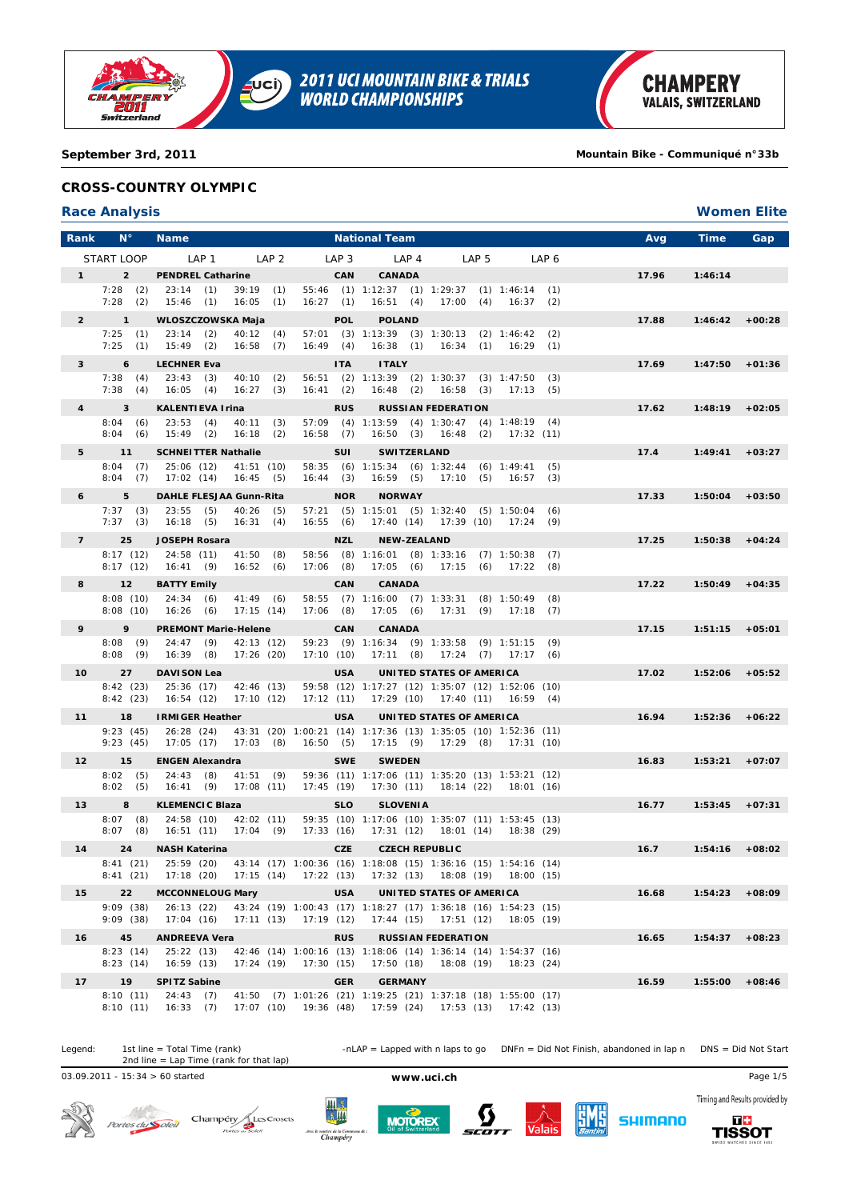

**2011 UCI MOUNTAIN BIKE & TRIALS<br>WORLD CHAMPIONSHIPS** UCI)

**September 3rd, 2011 Mountain Bike - Communiqué n°33b**

## **CROSS-COUNTRY OLYMPIC**

### **Race Analysis Women Elite**

| Rank            | $N^{\circ}$              | <b>Name</b>                                                                         |                                                                                           | <b>National Team</b>                                                |                                     |                    | Avg   | <b>Time</b>       | Gap      |
|-----------------|--------------------------|-------------------------------------------------------------------------------------|-------------------------------------------------------------------------------------------|---------------------------------------------------------------------|-------------------------------------|--------------------|-------|-------------------|----------|
|                 | START LOOP               | LAP 1<br>LAP <sub>2</sub>                                                           | LAP 3                                                                                     | LAP 4                                                               | LAP 5                               | LAP 6              |       |                   |          |
| $1 \quad$       | $\overline{2}$           | <b>PENDREL Catharine</b>                                                            | <b>CAN</b>                                                                                | <b>CANADA</b>                                                       |                                     |                    | 17.96 | 1:46:14           |          |
|                 | 7:28(2)<br>7:28(2)       | $39:19$ (1)<br>23:14(1)                                                             | $16:27$ (1)                                                                               | 55:46 (1) 1:12:37 (1) 1:29:37 (1) 1:46:14 (1)                       |                                     |                    |       |                   |          |
| $\overline{2}$  | $\mathbf{1}$             | 15:46 (1)<br>$16:05$ (1)<br>WLOSZCZOWSKA Maja                                       | <b>POL</b>                                                                                | 16:51(4)<br><b>POLAND</b>                                           | 17:00(4)                            | 16:37(2)           | 17.88 | $1:46:42 +00:28$  |          |
|                 | 7:25(1)                  | 23:14(2)<br>40:12(4)                                                                |                                                                                           | 57:01 (3) 1:13:39 (3) 1:30:13 (2) 1:46:42 (2)                       |                                     |                    |       |                   |          |
|                 | 7:25(1)                  | $15:49$ (2)<br>16:58<br>(7)                                                         | 16:49(4)                                                                                  |                                                                     | 16:38 (1) 16:34 (1) 16:29 (1)       |                    |       |                   |          |
| 3               | 6                        | <b>LECHNER Eva</b>                                                                  | <b>ITA</b>                                                                                | <b>ITALY</b>                                                        |                                     |                    | 17.69 | 1:47:50           | $+01:36$ |
|                 | 7:38(4)<br>7:38(4)       | 23:43(3)<br>40:10(2)<br>16:05(4)<br>$16:27$ (3)                                     | $16:41$ (2)                                                                               | 56:51 (2) 1:13:39 (2) 1:30:37 (3) 1:47:50                           | $16:48$ (2) $16:58$ (3)             | (3)<br>17:13(5)    |       |                   |          |
| $\overline{4}$  | $\mathbf{3}$             | <b>KALENTIEVA Irina</b>                                                             | <b>RUS</b>                                                                                |                                                                     | <b>RUSSIAN FEDERATION</b>           |                    | 17.62 | $1:48:19 + 02:05$ |          |
|                 | 8:04(6)                  | 23:53(4)<br>40:11(3)                                                                |                                                                                           | $57:09$ (4) $1:13:59$ (4) $1:30:47$ (4) $1:48:19$ (4)               |                                     |                    |       |                   |          |
|                 | 8:04(6)                  | $15:49$ (2)<br>16:18<br>(2)                                                         | 16:58(7)                                                                                  |                                                                     | 16:50 (3) 16:48 (2) 17:32 (11)      |                    |       |                   |          |
| 5               | 11                       | <b>SCHNEITTER Nathalie</b>                                                          | <b>SUI</b>                                                                                | <b>SWITZERLAND</b>                                                  |                                     |                    | 17.4  | 1:49:41           | $+03:27$ |
|                 | 8:04(7)<br>8:04(7)       | 25:06 (12)<br>41:51(10)<br>17:02 (14)<br>16:45(5)                                   | $16:44$ (3)                                                                               | 58:35 (6) 1:15:34 (6) 1:32:44 (6) 1:49:41                           | 16:59 (5) 17:10 (5) 16:57           | (5)<br>(3)         |       |                   |          |
| 6               | 5                        | DAHLE FLESJAA Gunn-Rita                                                             | <b>NOR</b>                                                                                | <b>NORWAY</b>                                                       |                                     |                    | 17.33 | $1:50:04$ +03:50  |          |
|                 | 7:37(3)                  | 23:55(5)<br>40:26<br>(5)                                                            |                                                                                           | 57:21 (5) 1:15:01 (5) 1:32:40 (5) 1:50:04                           |                                     | (6)                |       |                   |          |
|                 | 7:37(3)                  | 16:18(5)<br>16:31(4)                                                                | 16:55(6)                                                                                  |                                                                     | 17:40 (14) 17:39 (10) 17:24 (9)     |                    |       |                   |          |
| $7^{\circ}$     | 25<br>8:17(12)           | <b>JOSEPH Rosara</b><br>24:58 (11)<br>41:50<br>(8)                                  | <b>NZL</b>                                                                                | <b>NEW-ZEALAND</b><br>58:56 (8) 1:16:01 (8) 1:33:16 (7) 1:50:38 (7) |                                     |                    | 17.25 | $1:50:38 +04:24$  |          |
|                 | 8:17(12)                 | 16:41(9)<br>16:52(6)                                                                | $17:06$ (8)                                                                               |                                                                     | 17:05 (6) 17:15 (6) 17:22 (8)       |                    |       |                   |          |
| 8               | 12                       | <b>BATTY Emily</b>                                                                  | <b>CAN</b>                                                                                | <b>CANADA</b>                                                       |                                     |                    | 17.22 | 1:50:49           | $+04:35$ |
|                 | 8:08(10)<br>8:08(10)     | 24:34(6)<br>$41:49$ (6)<br>$16:26$ (6)<br>17:15(14)                                 | $17:06$ (8)                                                                               | 58:55 (7) 1:16:00 (7) 1:33:31 (8) 1:50:49<br>17:05(6)               | 17:31(9)                            | (8)<br>$17:18$ (7) |       |                   |          |
| 9               | 9                        | <b>PREMONT Marie-Helene</b>                                                         | <b>CAN</b>                                                                                | <b>CANADA</b>                                                       |                                     |                    | 17.15 | 1:51:15           | $+05:01$ |
|                 | 8:08(9)                  | 24:47(9)<br>42:13 (12)                                                              |                                                                                           | 59:23 (9) 1:16:34 (9) 1:33:58 (9) 1:51:15 (9)                       |                                     |                    |       |                   |          |
|                 | 8:08(9)                  | $16:39$ (8)<br>17:26(20)                                                            | 17:10(10)                                                                                 |                                                                     | $17:11$ (8) $17:24$ (7) $17:17$ (6) |                    |       |                   |          |
| $10-10$         | 27                       | <b>DAVISON Lea</b>                                                                  | <b>USA</b>                                                                                |                                                                     | UNITED STATES OF AMERICA            |                    | 17.02 | 1:52:06           | $+05:52$ |
|                 | 8:42(23)<br>8:42(23)     | 25:36 (17) 42:46 (13)<br>16:54 (12)<br>17:10(12)                                    | 17:12(11)                                                                                 | 59:58 (12) 1:17:27 (12) 1:35:07 (12) 1:52:06 (10)                   | 17:29 (10) 17:40 (11) 16:59 (4)     |                    |       |                   |          |
| 11              | 18                       | <b>IRMIGER Heather</b>                                                              | <b>USA</b>                                                                                |                                                                     | UNITED STATES OF AMERICA            |                    | 16.94 | $1:52:36$ +06:22  |          |
|                 | 9:23(45)                 | 26:28 (24)                                                                          | 43:31 (20) 1:00:21 (14) 1:17:36 (13) 1:35:05 (10) 1:52:36 (11)                            |                                                                     |                                     |                    |       |                   |          |
|                 | 9:23(45)                 | 17:05 (17)<br>$17:03$ (8)                                                           | 16:50 (5)                                                                                 |                                                                     | 17:15 (9) 17:29 (8) 17:31 (10)      |                    |       |                   |          |
| 12 <sub>2</sub> | 15<br>8:02(5)            | <b>ENGEN Alexandra</b><br>24:43(8)<br>41:51(9)                                      | <b>SWE</b>                                                                                | <b>SWEDEN</b><br>59:36 (11) 1:17:06 (11) 1:35:20 (13) 1:53:21 (12)  |                                     |                    | 16.83 | $1:53:21 + 07:07$ |          |
|                 | 8:02(5)                  | 16:41(9)<br>17:08(11)                                                               | 17:45 (19)                                                                                |                                                                     | 17:30 (11) 18:14 (22) 18:01 (16)    |                    |       |                   |          |
| 13 <sup>1</sup> | 8                        | <b>KLEMENCIC Blaza</b>                                                              | <b>SLO</b>                                                                                | <b>SLOVENIA</b>                                                     |                                     |                    | 16.77 | $1:53:45$ +07:31  |          |
|                 | $8:07$ (8)<br>$8:07$ (8) | 24:58 (10)<br>42:02(11)<br>16:51 (11)<br>17:04(9)                                   | 17:33(16)                                                                                 | 59:35 (10) 1:17:06 (10) 1:35:07 (11) 1:53:45 (13)                   | 17:31 (12) 18:01 (14) 18:38 (29)    |                    |       |                   |          |
| 14              | 24                       | <b>NASH Katerina</b>                                                                | CZE                                                                                       | <b>CZECH REPUBLIC</b>                                               |                                     |                    | 16.7  | $1:54:16 + 08:02$ |          |
|                 |                          | 8:41 (21) 25:59 (20) 43:14 (17) 1:00:36 (16) 1:18:08 (15) 1:36:16 (15) 1:54:16 (14) |                                                                                           |                                                                     |                                     |                    |       |                   |          |
|                 | 8:41(21)                 | 17:18 (20) 17:15 (14) 17:22 (13) 17:32 (13) 18:08 (19) 18:00 (15)                   |                                                                                           |                                                                     |                                     |                    |       |                   |          |
| 15              | 22                       | <b>MCCONNELOUG Mary</b>                                                             | <b>USA</b>                                                                                |                                                                     | UNITED STATES OF AMERICA            |                    | 16.68 | 1:54:23           | $+08:09$ |
|                 | 9:09(38)<br>9:09(38)     | 26:13 (22)<br>17:04(16)                                                             | 43:24 (19) 1:00:43 (17) 1:18:27 (17) 1:36:18 (16) 1:54:23 (15)<br>$17:11(13)$ $17:19(12)$ |                                                                     | 17:44 (15) 17:51 (12)               | 18:05 (19)         |       |                   |          |
| 16              | 45                       | <b>ANDREEVA Vera</b>                                                                | <b>RUS</b>                                                                                |                                                                     | <b>RUSSIAN FEDERATION</b>           |                    | 16.65 | 1:54:37           | $+08:23$ |
|                 | 8:23(14)                 | 25:22(13)                                                                           | 42:46 (14) 1:00:16 (13) 1:18:06 (14) 1:36:14 (14) 1:54:37 (16)                            |                                                                     |                                     |                    |       |                   |          |
|                 | 8:23(14)                 | 17:24 (19)<br>16:59 (13)                                                            | 17:30(15)                                                                                 |                                                                     | 17:50 (18) 18:08 (19) 18:23 (24)    |                    |       |                   |          |
| 17              | 19<br>8:10(11)           | <b>SPITZ Sabine</b><br>24:43(7)                                                     | <b>GER</b><br>41:50 (7) 1:01:26 (21) 1:19:25 (21) 1:37:18 (18) 1:55:00 (17)               | <b>GERMANY</b>                                                      |                                     |                    | 16.59 | 1:55:00           | $+08:46$ |
|                 | 8:10(11)                 | 16:33(7)                                                                            | 17:07 (10) 19:36 (48) 17:59 (24) 17:53 (13) 17:42 (13)                                    |                                                                     |                                     |                    |       |                   |          |

Legend: 1st line = Total Time (rank) -nLAP = Lapped with n laps to go DNFn = Did Not Finish, abandoned in lap n DNS = Did Not Start 1st line = Total Time (rank)<br>2nd line = Lap Time (rank for that lap)

03.09.2011 - 15:34 > 60 started **www.uci.ch** Page 1/5



Portes du Soleil Champény Les Crosets







Timing and Results provided by **SHIMANO** 

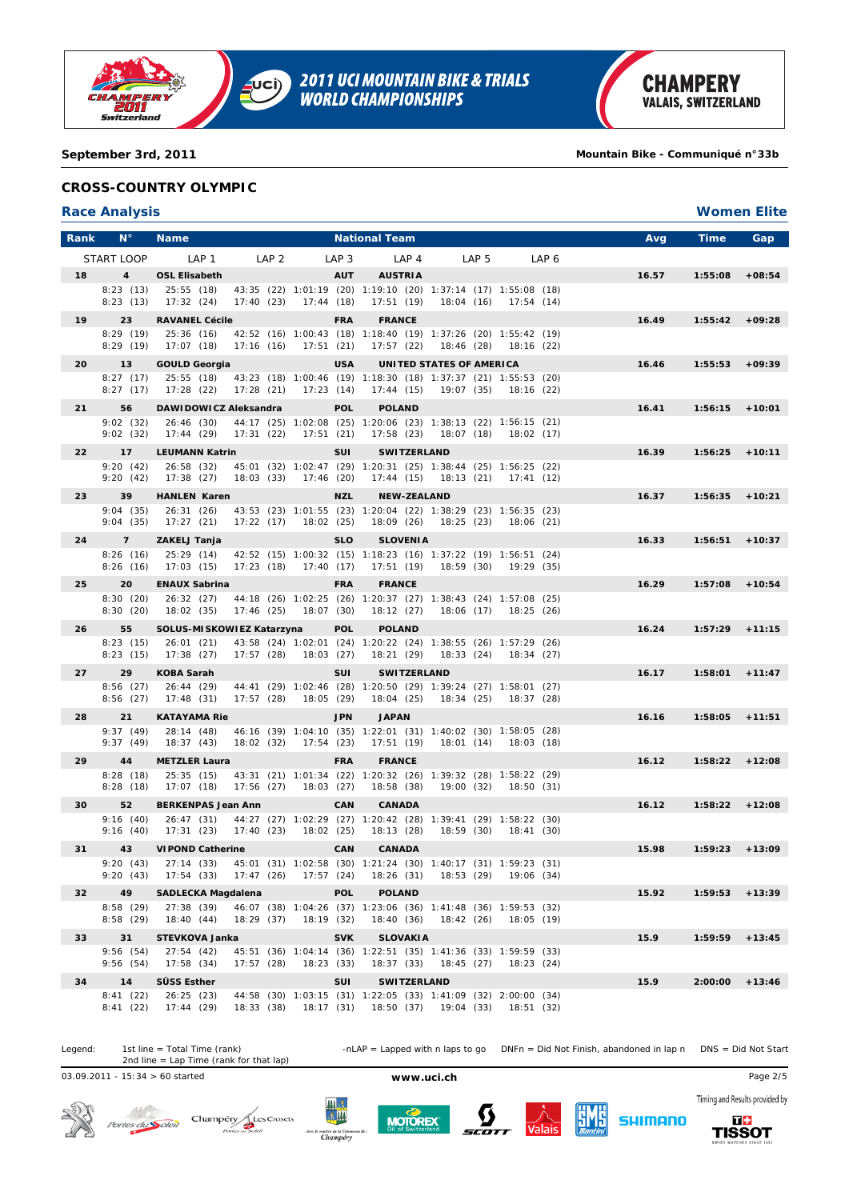

**2011 UCI MOUNTAIN BIKE & TRIALS<br>WORLD CHAMPIONSHIPS**  $\overline{\mathbf{C}}$ 

**September 3rd, 2011 Mountain Bike - Communiqué n°33b**

## **CROSS-COUNTRY OLYMPIC**

### **Race Analysis Women Elite**

| Rank | $N^{\circ}$             | <b>Name</b>                        |                                                                                                                          |                  | <b>National Team</b>             |                                  |            |                  | Avg   | Time              | Gap      |
|------|-------------------------|------------------------------------|--------------------------------------------------------------------------------------------------------------------------|------------------|----------------------------------|----------------------------------|------------|------------------|-------|-------------------|----------|
|      | START LOOP              | LAP <sub>1</sub>                   | LAP <sub>2</sub>                                                                                                         | LAP <sub>3</sub> | LAP <sub>4</sub>                 | LAP <sub>5</sub>                 |            | LAP <sub>6</sub> |       |                   |          |
| 18   | $\overline{\mathbf{4}}$ | <b>OSL Elisabeth</b>               |                                                                                                                          | <b>AUT</b>       | <b>AUSTRIA</b>                   |                                  |            |                  | 16.57 | 1:55:08           | $+08:54$ |
|      | 8:23(13)                | 25:55(18)                          | 43:35 (22) 1:01:19 (20) 1:19:10 (20) 1:37:14 (17) 1:55:08 (18)                                                           |                  |                                  |                                  |            |                  |       |                   |          |
|      | 8:23(13)                | 17:32 (24)                         | 17:40(23)<br>17:44(18)                                                                                                   |                  | 17:51(19)                        | 18:04 (16)                       | 17:54(14)  |                  |       |                   |          |
| 19   | 23<br>8:29(19)          | <b>RAVANEL Cécile</b><br>25:36(16) | 42:52 (16) 1:00:43 (18) 1:18:40 (19) 1:37:26 (20) 1:55:42 (19)                                                           | <b>FRA</b>       | <b>FRANCE</b>                    |                                  |            |                  | 16.49 | 1:55:42           | $+09:28$ |
|      | 8:29(19)                | 17:07 (18)                         | 17:16(16)<br>17:51 (21)                                                                                                  |                  | 17:57 (22)                       | 18:46 (28) 18:16 (22)            |            |                  |       |                   |          |
| 20   | 13                      | <b>GOULD Georgia</b>               |                                                                                                                          | <b>USA</b>       |                                  | UNITED STATES OF AMERICA         |            |                  | 16.46 | 1:55:53           | $+09:39$ |
|      | 8:27(17)                | 25:55(18)                          | 43:23 (18) 1:00:46 (19) 1:18:30 (18) 1:37:37 (21) 1:55:53 (20)                                                           |                  |                                  |                                  |            |                  |       |                   |          |
|      | 8:27(17)                | 17:28 (22)                         | 17:28(21)<br>17:23(14)                                                                                                   |                  | 17:44 (15)                       | 19:07 (35)                       | 18:16 (22) |                  |       |                   |          |
| 21   | 56                      | DAWIDOWICZ Aleksandra              |                                                                                                                          | <b>POL</b>       | <b>POLAND</b>                    |                                  |            |                  | 16.41 | 1:56:15           | $+10:01$ |
|      | 9:02(32)<br>9:02(32)    | 26:46 (30)<br>17:44 (29)           | 44:17 (25) 1:02:08 (25) 1:20:06 (23) 1:38:13 (22) 1:56:15 (21)<br>17:31(22)<br>17:51 (21)                                |                  | 17:58 (23) 18:07 (18) 18:02 (17) |                                  |            |                  |       |                   |          |
| 22   | 17                      | <b>LEUMANN Katrin</b>              |                                                                                                                          | <b>SUI</b>       | <b>SWITZERLAND</b>               |                                  |            |                  | 16.39 | 1:56:25           | $+10:11$ |
|      | 9:20(42)                | 26:58 (32)                         | 45:01 (32) 1:02:47 (29) 1:20:31 (25) 1:38:44 (25) 1:56:25 (22)                                                           |                  |                                  |                                  |            |                  |       |                   |          |
|      | 9:20(42)                | 17:38(27)                          | 18:03 (33)<br>17:46 (20)                                                                                                 |                  | 17:44 (15) 18:13 (21) 17:41 (12) |                                  |            |                  |       |                   |          |
| 23   | 39                      | <b>HANLEN Karen</b>                |                                                                                                                          | <b>NZL</b>       | <b>NEW-ZEALAND</b>               |                                  |            |                  | 16.37 | 1:56:35           | $+10:21$ |
|      | 9:04(35)<br>9:04(35)    | 26:31(26)<br>17:27(21)             | 43:53 (23) 1:01:55 (23) 1:20:04 (22) 1:38:29 (23) 1:56:35 (23)<br>17:22(17)<br>18:02(25)                                 |                  | 18:09 (26)                       | 18:25(23)                        | 18:06 (21) |                  |       |                   |          |
| 24   | $\overline{7}$          | ZAKELJ Tanja                       |                                                                                                                          | <b>SLO</b>       | <b>SLOVENIA</b>                  |                                  |            |                  | 16.33 | 1:56:51           | $+10:37$ |
|      | 8:26(16)                | 25:29 (14)                         | 42:52 (15) 1:00:32 (15) 1:18:23 (16) 1:37:22 (19) 1:56:51 (24)                                                           |                  |                                  |                                  |            |                  |       |                   |          |
|      | 8:26(16)                | 17:03 (15)                         | 17:23 (18)<br>17:40 (17)                                                                                                 |                  | 17:51 (19)                       | 18:59 (30) 19:29 (35)            |            |                  |       |                   |          |
| 25   | 20                      | <b>ENAUX Sabrina</b>               |                                                                                                                          | <b>FRA</b>       | <b>FRANCE</b>                    |                                  |            |                  | 16.29 | 1:57:08           | $+10:54$ |
|      | 8:30(20)<br>8:30(20)    | 18:02 (35)                         | 26:32 (27) 44:18 (26) 1:02:25 (26) 1:20:37 (27) 1:38:43 (24) 1:57:08 (25)<br>17:46 (25)<br>18:07 (30)                    |                  | 18:12(27)                        | 18:06 (17) 18:25 (26)            |            |                  |       |                   |          |
| 26   | 55                      | SOLUS-MISKOWIEZ Katarzyna          |                                                                                                                          | <b>POL</b>       | <b>POLAND</b>                    |                                  |            |                  | 16.24 | $1:57:29$ +11:15  |          |
|      | 8:23(15)                | 26:01(21)                          | 43:58 (24) 1:02:01 (24) 1:20:22 (24) 1:38:55 (26) 1:57:29 (26)                                                           |                  |                                  |                                  |            |                  |       |                   |          |
|      | 8:23(15)                | 17:38(27)                          | 17:57(28)<br>18:03 (27)                                                                                                  |                  | 18:21 (29) 18:33 (24) 18:34 (27) |                                  |            |                  |       |                   |          |
| 27   | 29<br>8:56(27)          | <b>KOBA Sarah</b><br>26:44 (29)    | 44:41 (29) 1:02:46 (28) 1:20:50 (29) 1:39:24 (27) 1:58:01 (27)                                                           | <b>SUI</b>       | <b>SWITZERLAND</b>               |                                  |            |                  | 16.17 | 1:58:01           | $+11:47$ |
|      | 8:56(27)                | 17:48(31)                          | 17:57(28)<br>18:05 (29)                                                                                                  |                  | 18:04 (25)                       | 18:34 (25) 18:37 (28)            |            |                  |       |                   |          |
| 28   | 21                      | <b>KATAYAMA Rie</b>                |                                                                                                                          | <b>JPN</b>       | <b>JAPAN</b>                     |                                  |            |                  | 16.16 | 1:58:05           | $+11:51$ |
|      | 9:37(49)                | 28:14 (48)                         | 46:16 (39) 1:04:10 (35) 1:22:01 (31) 1:40:02 (30) 1:58:05 (28)                                                           |                  |                                  |                                  |            |                  |       |                   |          |
|      | 9:37(49)                | 18:37(43)                          | 18:02(32)<br>17:54 (23)                                                                                                  |                  | 17:51 (19)                       | 18:01 (14) 18:03 (18)            |            |                  |       |                   |          |
| 29   | 44<br>8:28(18)          | <b>METZLER Laura</b><br>25:35(15)  | 43:31 (21) 1:01:34 (22) 1:20:32 (26) 1:39:32 (28) 1:58:22 (29)                                                           | <b>FRA</b>       | <b>FRANCE</b>                    |                                  |            |                  | 16.12 | $1:58:22 + 12:08$ |          |
|      | 8:28(18)                | 17:07(18)                          | 17:56 (27)<br>18:03 (27)                                                                                                 |                  | 18:58 (38)                       | 19:00 (32) 18:50 (31)            |            |                  |       |                   |          |
| 30   | 52                      | <b>BERKENPAS Jean Ann</b>          |                                                                                                                          | CAN              | <b>CANADA</b>                    |                                  |            |                  | 16.12 | 1:58:22           | $+12:08$ |
|      | 9:16(40)                |                                    | 26:47 (31) 44:27 (27) 1:02:29 (27) 1:20:42 (28) 1:39:41 (29) 1:58:22 (30)                                                |                  |                                  |                                  |            |                  |       |                   |          |
|      | 9:16(40)                | 17:31 (23)                         | 17:40(23)<br>18:02 (25)                                                                                                  |                  | 18:13(28)                        | 18:59 (30)                       | 18:41 (30) |                  |       |                   |          |
| 31   | 43                      | <b>VIPOND Catherine</b>            | 9:20 (43) 27:14 (33) 45:01 (31) 1:02:58 (30) 1:21:24 (30) 1:40:17 (31) 1:59:23 (31)                                      | CAN              | <b>CANADA</b>                    |                                  |            |                  | 15.98 | 1:59:23           | $+13:09$ |
|      | 9:20(43)                | 17:54(33)                          | 17:47 (26) 17:57 (24) 18:26 (31) 18:53 (29) 19:06 (34)                                                                   |                  |                                  |                                  |            |                  |       |                   |          |
| 32   | 49                      | <b>SADLECKA Magdalena</b>          |                                                                                                                          | <b>POL</b>       | <b>POLAND</b>                    |                                  |            |                  | 15.92 | $1:59:53 + 13:39$ |          |
|      | 8:58(29)                | 27:38(39)                          | 46:07 (38) 1:04:26 (37) 1:23:06 (36) 1:41:48 (36) 1:59:53 (32)<br>18:29 (37)<br>18:19 (32)                               |                  |                                  |                                  |            |                  |       |                   |          |
|      | 8:58(29)                | 18:40(44)                          |                                                                                                                          |                  |                                  | 18:40 (36) 18:42 (26) 18:05 (19) |            |                  |       |                   |          |
| 33   | 31<br>9:56(54)          | STEVKOVA Janka<br>27:54(42)        | 45:51 (36) 1:04:14 (36) 1:22:51 (35) 1:41:36 (33) 1:59:59 (33)                                                           | <b>SVK</b>       | <b>SLOVAKIA</b>                  |                                  |            |                  | 15.9  | 1:59:59           | $+13:45$ |
|      | 9:56(54)                | 17:58(34)                          | 17:57(28)<br>18:23(33)                                                                                                   |                  |                                  | 18:37 (33) 18:45 (27) 18:23 (24) |            |                  |       |                   |          |
| 34   | 14                      | SÜSS Esther                        |                                                                                                                          | SUI              | SWITZERLAND                      |                                  |            |                  | 15.9  | 2:00:00           | $+13:46$ |
|      | 8:41(22)<br>8:41(22)    | 26:25(23)<br>17:44(29)             | 44:58 (30) 1:03:15 (31) 1:22:05 (33) 1:41:09 (32) 2:00:00 (34)<br>18:33 (38) 18:17 (31) 18:50 (37) 19:04 (33) 18:51 (32) |                  |                                  |                                  |            |                  |       |                   |          |

Legend: 1st line = Total Time (rank) -nLAP = Lapped with n laps to go DNFn = Did Not Finish, abandoned in lap n DNS = Did Not Start 1st line = Total Time (rank)<br>2nd line = Lap Time (rank for that lap)

03.09.2011 - 15:34 > 60 started **www.uci.ch** Page 2/5



Portes du Soleil Champéry<br>Portes as Soleil









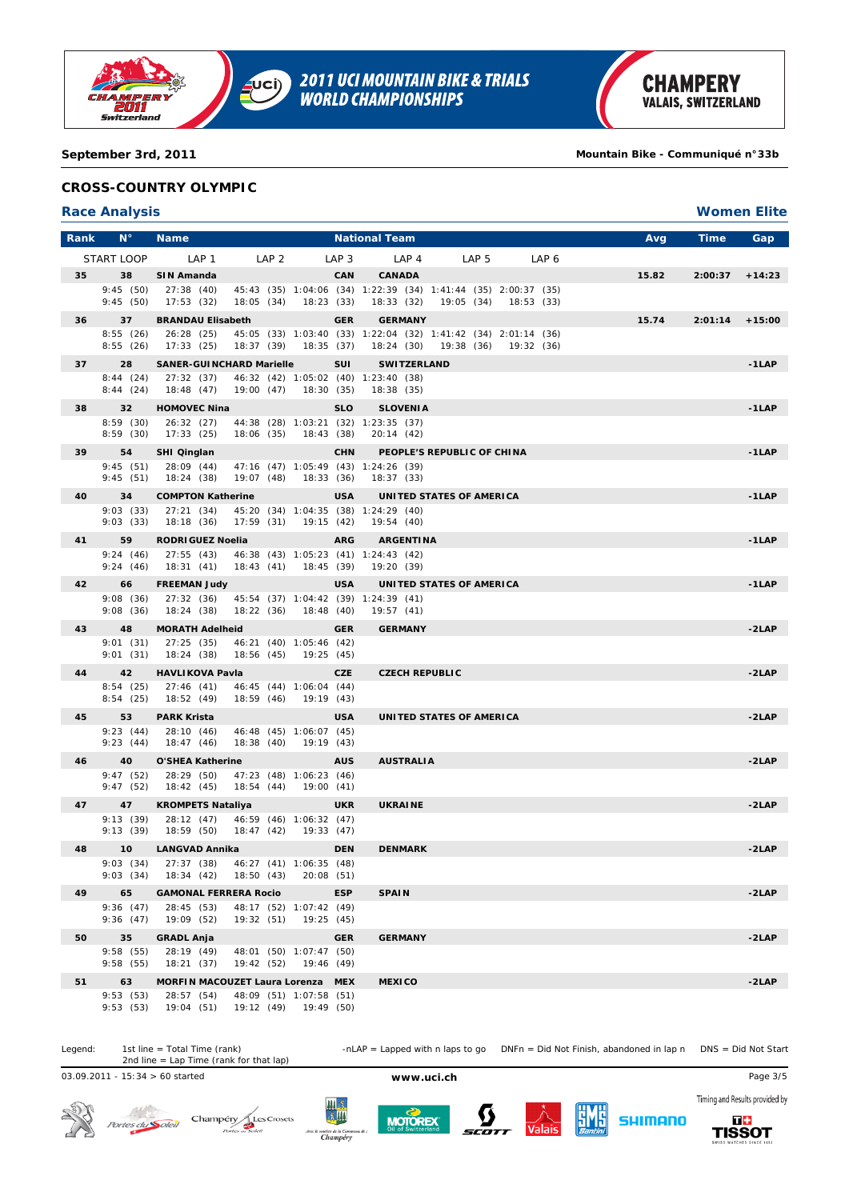

## **September 3rd, 2011 Mountain Bike - Communiqué n°33b**

## **CROSS-COUNTRY OLYMPIC**

## **Race Analysis Women Elite**

| Rank | $N^{\circ}$          | <b>Name</b>                                |                                                                             |                  | <b>National Team</b>           |                       |                  |            |                  | Avg   | <b>Time</b> | Gap      |
|------|----------------------|--------------------------------------------|-----------------------------------------------------------------------------|------------------|--------------------------------|-----------------------|------------------|------------|------------------|-------|-------------|----------|
|      | START LOOP           | LAP 1                                      | LAP <sub>2</sub>                                                            | LAP <sub>3</sub> | LAP <sub>4</sub>               |                       | LAP <sub>5</sub> |            | LAP <sub>6</sub> |       |             |          |
| 35   | 38                   | SIN Amanda                                 |                                                                             | <b>CAN</b>       | <b>CANADA</b>                  |                       |                  |            |                  | 15.82 | 2:00:37     | $+14:23$ |
|      | 9:45(50)             | 27:38(40)                                  | 45:43 (35) 1:04:06 (34) 1:22:39 (34) 1:41:44 (35) 2:00:37 (35)              |                  |                                |                       |                  |            |                  |       |             |          |
|      | 9:45(50)             | 17:53(32)<br>18:05(34)                     | 18:23(33)                                                                   |                  | 18:33(32)                      | 19:05 (34)            |                  | 18:53 (33) |                  |       |             |          |
| 36   | 37                   | <b>BRANDAU Elisabeth</b>                   |                                                                             | <b>GER</b>       | <b>GERMANY</b>                 |                       |                  |            |                  | 15.74 | 2:01:14     | $+15:00$ |
|      | 8:55(26)<br>8:55(26) | 26:28 (25)<br>17:33(25)<br>18:37 (39)      | 45:05 (33) 1:03:40 (33) 1:22:04 (32) 1:41:42 (34) 2:01:14 (36)<br>18:35(37) |                  | 18:24 (30)                     | 19:38 (36) 19:32 (36) |                  |            |                  |       |             |          |
| 37   | 28                   | <b>SANER-GUINCHARD Marielle</b>            |                                                                             | <b>SUI</b>       | <b>SWITZERLAND</b>             |                       |                  |            |                  |       |             | $-1LAP$  |
|      | 8:44(24)<br>8:44(24) | 27:32(37)<br>18:48 (47)<br>19:00(47)       | 46:32 (42) 1:05:02 (40) 1:23:40 (38)<br>18:30(35)                           |                  | 18:38 (35)                     |                       |                  |            |                  |       |             |          |
| 38   | 32                   | <b>HOMOVEC Nina</b>                        |                                                                             | <b>SLO</b>       | <b>SLOVENIA</b>                |                       |                  |            |                  |       |             | $-1LAP$  |
|      | 8:59(30)             | 26:32 (27)                                 | 44:38 (28) 1:03:21 (32) 1:23:35 (37)                                        |                  |                                |                       |                  |            |                  |       |             |          |
|      | 8:59(30)             | 17:33(25)<br>18:06 (35)                    | 18:43(38)                                                                   |                  | 20:14(42)                      |                       |                  |            |                  |       |             |          |
| 39   | 54<br>9:45(51)       | SHI Qinglan<br>28:09 (44)                  | 47:16 (47) 1:05:49 (43) 1:24:26 (39)                                        | <b>CHN</b>       | PEOPLE'S REPUBLIC OF CHINA     |                       |                  |            |                  |       |             | $-1LAP$  |
|      | 9:45(51)             | 18:24 (38)<br>19:07 (48)                   | 18:33(36)                                                                   |                  | 18:37(33)                      |                       |                  |            |                  |       |             |          |
| 40   | 34                   | <b>COMPTON Katherine</b>                   |                                                                             | <b>USA</b>       | UNITED STATES OF AMERICA       |                       |                  |            |                  |       |             | $-1$ LAP |
|      | 9:03(33)             | 27:21(34)<br>17:59(31)                     | 45:20 (34) 1:04:35 (38) 1:24:29 (40)<br>19:15 (42)                          |                  |                                |                       |                  |            |                  |       |             |          |
| 41   | 9:03(33)<br>59       | 18:18 (36)                                 |                                                                             |                  | 19:54 (40)<br><b>ARGENTINA</b> |                       |                  |            |                  |       |             |          |
|      | 9:24(46)             | <b>RODRIGUEZ Noelia</b><br>27:55(43)       | 46:38 (43) 1:05:23 (41) 1:24:43 (42)                                        | <b>ARG</b>       |                                |                       |                  |            |                  |       |             | $-1$ LAP |
|      | 9:24(46)             | 18:31(41)<br>18:43(41)                     | 18:45 (39)                                                                  |                  | 19:20(39)                      |                       |                  |            |                  |       |             |          |
| 42   | 66                   | <b>FREEMAN Judy</b>                        |                                                                             | <b>USA</b>       | UNITED STATES OF AMERICA       |                       |                  |            |                  |       |             | $-1LAP$  |
|      | 9:08(36)             | 27:32(36)                                  | 45:54 (37) 1:04:42 (39) 1:24:39 (41)                                        |                  |                                |                       |                  |            |                  |       |             |          |
|      | 9:08(36)             | 18:24(38)<br>18:22(36)                     | 18:48 (40)                                                                  |                  | 19:57(41)                      |                       |                  |            |                  |       |             |          |
| 43   | 48<br>9:01(31)       | <b>MORATH Adelheid</b><br>27:25(35)        | 46:21 (40) 1:05:46 (42)                                                     | <b>GER</b>       | <b>GERMANY</b>                 |                       |                  |            |                  |       |             | -2LAP    |
|      | 9:01(31)             | 18:24 (38)<br>18:56 (45)                   | 19:25 (45)                                                                  |                  |                                |                       |                  |            |                  |       |             |          |
| 44   | 42                   | <b>HAVLIKOVA Pavla</b>                     |                                                                             | <b>CZE</b>       | <b>CZECH REPUBLIC</b>          |                       |                  |            |                  |       |             | $-2LAP$  |
|      | 8:54(25)             | 27:46(41)                                  | 46:45 (44) 1:06:04 (44)                                                     |                  |                                |                       |                  |            |                  |       |             |          |
|      | 8:54(25)             | 18:52 (49)<br>18:59 (46)                   | 19:19 (43)                                                                  |                  |                                |                       |                  |            |                  |       |             |          |
| 45   | 53<br>9:23(44)       | <b>PARK Krista</b><br>28:10 (46)           | 46:48 (45) 1:06:07 (45)                                                     | <b>USA</b>       | UNITED STATES OF AMERICA       |                       |                  |            |                  |       |             | $-2LAP$  |
|      | 9:23(44)             | 18:47(46)<br>18:38(40)                     | 19:19 (43)                                                                  |                  |                                |                       |                  |            |                  |       |             |          |
| 46   | 40                   | O'SHEA Katherine                           |                                                                             | <b>AUS</b>       | <b>AUSTRALIA</b>               |                       |                  |            |                  |       |             | $-2LAP$  |
|      | 9:47(52)             | 28:29 (50)                                 | 47:23 (48) 1:06:23 (46)                                                     |                  |                                |                       |                  |            |                  |       |             |          |
|      | 9:47(52)             | 18:42 (45)<br>18:54(44)                    | 19:00(41)                                                                   |                  |                                |                       |                  |            |                  |       |             |          |
| 47   | 47<br>9:13(39)       | <b>KROMPETS Nataliya</b><br>28:12 (47)     | 46:59 (46) 1:06:32 (47)                                                     | <b>UKR</b>       | <b>UKRAINE</b>                 |                       |                  |            |                  |       |             | $-2LAP$  |
|      | 9:13(39)             | 18:59(50)<br>18:47(42)                     | 19:33 (47)                                                                  |                  |                                |                       |                  |            |                  |       |             |          |
| 48   | 10                   | <b>LANGVAD Annika</b>                      |                                                                             | <b>DEN</b>       | <b>DENMARK</b>                 |                       |                  |            |                  |       |             | $-2LAP$  |
|      | 9:03(34)<br>9:03(34) | 27:37 (38)<br>18:50(43)                    | 46:27 (41) 1:06:35 (48)                                                     |                  |                                |                       |                  |            |                  |       |             |          |
| 49   | 65                   | 18:34 (42)<br><b>GAMONAL FERRERA Rocio</b> | 20:08 (51)                                                                  | <b>ESP</b>       | <b>SPAIN</b>                   |                       |                  |            |                  |       |             | $-2LAP$  |
|      | 9:36(47)             | 28:45 (53)                                 | 48:17 (52) 1:07:42 (49)                                                     |                  |                                |                       |                  |            |                  |       |             |          |
|      | 9:36(47)             | 19:32(51)<br>19:09 (52)                    | 19:25 (45)                                                                  |                  |                                |                       |                  |            |                  |       |             |          |
| 50   | 35                   | <b>GRADL Anja</b>                          |                                                                             | <b>GER</b>       | <b>GERMANY</b>                 |                       |                  |            |                  |       |             | $-2LAP$  |
|      | 9:58(55)<br>9:58(55) | 28:19 (49)<br>18:21(37)<br>19:42 (52)      | 48:01 (50) 1:07:47 (50)<br>19:46 (49)                                       |                  |                                |                       |                  |            |                  |       |             |          |
| 51   | 63                   | MORFIN MACOUZET Laura Lorenza MEX          |                                                                             |                  | <b>MEXICO</b>                  |                       |                  |            |                  |       |             | $-2LAP$  |
|      | 9:53(53)             | 28:57 (54)                                 | 48:09 (51) 1:07:58 (51)                                                     |                  |                                |                       |                  |            |                  |       |             |          |
|      | 9:53(53)             | 19:04 (51)                                 | 19:12 (49) 19:49 (50)                                                       |                  |                                |                       |                  |            |                  |       |             |          |

Legend: 1st line = Total Time (rank) -nLAP = Lapped with n laps to go DNFn = Did Not Finish, abandoned in lap n DNS = Did Not Start 1st line = Total Time (rank)<br>2nd line = Lap Time (rank for that lap)

03.09.2011 - 15:34 > 60 started **www.uci.ch** Page 3/5









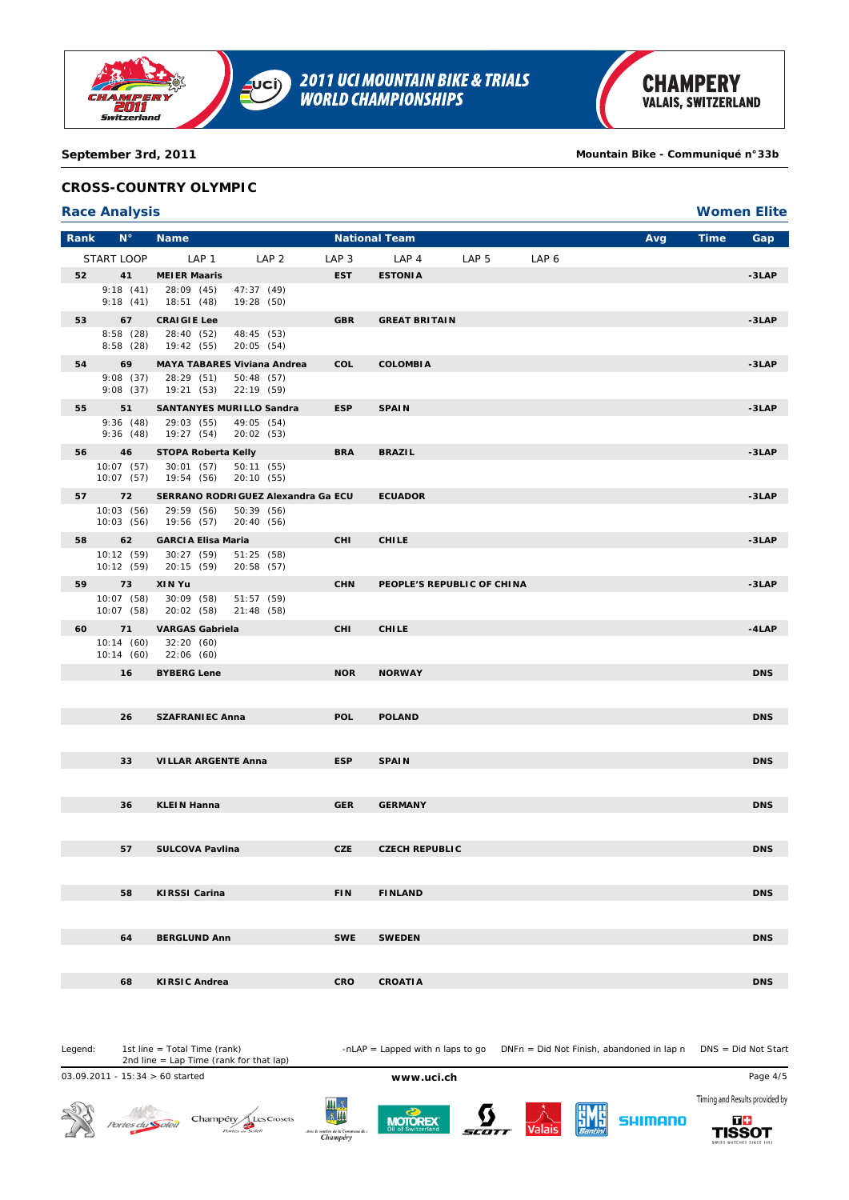

**September 3rd, 2011 Mountain Bike - Communiqué n°33b**

## **CROSS-COUNTRY OLYMPIC**

## **Race Analysis Women Elite**

| Rank | $N^{\circ}$              | <b>Name</b>                     |                                     |                  | <b>National Team</b>  |                            |                  | Avg | <b>Time</b> | Gap        |
|------|--------------------------|---------------------------------|-------------------------------------|------------------|-----------------------|----------------------------|------------------|-----|-------------|------------|
|      | START LOOP               | LAP 1                           | LAP <sub>2</sub>                    | LAP <sub>3</sub> | LAP <sub>4</sub>      | LAP <sub>5</sub>           | LAP <sub>6</sub> |     |             |            |
| 52   | 41                       | <b>MEIER Maaris</b>             |                                     | <b>EST</b>       | <b>ESTONIA</b>        |                            |                  |     |             | $-3LAP$    |
|      | 9:18(41)<br>9:18(41)     | 28:09 (45)<br>18:51 (48)        | 47:37 (49)<br>19:28 (50)            |                  |                       |                            |                  |     |             |            |
| 53   | 67                       | <b>CRAIGIE Lee</b>              |                                     | <b>GBR</b>       | <b>GREAT BRITAIN</b>  |                            |                  |     |             | $-3LAP$    |
|      | 8:58(28)<br>8:58(28)     | 28:40 (52)<br>19:42 (55)        | 48:45 (53)<br>20:05 (54)            |                  |                       |                            |                  |     |             |            |
| 54   | 69                       |                                 | <b>MAYA TABARES Viviana Andrea</b>  | COL              | <b>COLOMBIA</b>       |                            |                  |     |             | $-3LAP$    |
|      | 9:08(37)<br>9:08(37)     | 28:29 (51)<br>19:21 (53)        | 50:48 (57)<br>22:19 (59)            |                  |                       |                            |                  |     |             |            |
| 55   | 51                       | <b>SANTANYES MURILLO Sandra</b> |                                     | <b>ESP</b>       | <b>SPAIN</b>          |                            |                  |     |             | $-3LAP$    |
|      | 9:36(48)<br>9:36(48)     | 29:03 (55)<br>19:27 (54)        | 49:05 (54)<br>20:02 (53)            |                  |                       |                            |                  |     |             |            |
| 56   | 46                       | STOPA Roberta Kelly             |                                     | <b>BRA</b>       | <b>BRAZIL</b>         |                            |                  |     |             | $-3LAP$    |
|      | 10:07 (57)<br>10:07 (57) | 30:01(57)<br>19:54 (56)         | 50:11 (55)<br>20:10 (55)            |                  |                       |                            |                  |     |             |            |
|      | 72                       |                                 | SERRANO RODRI GUEZ Alexandra Ga ECU |                  | <b>ECUADOR</b>        |                            |                  |     |             | $-3LAP$    |
|      | 10:03(56)<br>10:03(56)   | 29:59 (56)<br>19:56 (57)        | 50:39 (56)<br>20:40 (56)            |                  |                       |                            |                  |     |             |            |
| 58   | 62                       | <b>GARCIA Elisa Maria</b>       |                                     | <b>CHI</b>       | <b>CHILE</b>          |                            |                  |     |             | $-3LAP$    |
|      | 10:12 (59)<br>10:12(59)  | 30:27(59)<br>20:15 (59)         | 51:25 (58)<br>20:58 (57)            |                  |                       |                            |                  |     |             |            |
| 59   | 73                       | XIN Yu                          |                                     | <b>CHN</b>       |                       | PEOPLE'S REPUBLIC OF CHINA |                  |     |             | $-3LAP$    |
|      | 10:07(58)<br>10:07(58)   | 30:09 (58)<br>20:02 (58)        | 51:57(59)<br>21:48 (58)             |                  |                       |                            |                  |     |             |            |
| 60   | 71                       | <b>VARGAS Gabriela</b>          |                                     | <b>CHI</b>       | <b>CHILE</b>          |                            |                  |     |             | $-4$ LAP   |
|      | 10:14(60)<br>10:14 (60)  | 32:20(60)<br>22:06 (60)         |                                     |                  |                       |                            |                  |     |             |            |
|      | 16                       | <b>BYBERG Lene</b>              |                                     | <b>NOR</b>       | <b>NORWAY</b>         |                            |                  |     |             | <b>DNS</b> |
|      |                          |                                 |                                     |                  |                       |                            |                  |     |             |            |
|      | 26                       | <b>SZAFRANIEC Anna</b>          |                                     | <b>POL</b>       | <b>POLAND</b>         |                            |                  |     |             | <b>DNS</b> |
|      |                          |                                 |                                     |                  |                       |                            |                  |     |             |            |
|      | 33                       | <b>VILLAR ARGENTE Anna</b>      |                                     | <b>ESP</b>       | <b>SPAIN</b>          |                            |                  |     |             | <b>DNS</b> |
|      |                          |                                 |                                     |                  |                       |                            |                  |     |             |            |
|      | 36                       | <b>KLEIN Hanna</b>              |                                     | <b>GER</b>       | <b>GERMANY</b>        |                            |                  |     |             | <b>DNS</b> |
|      |                          |                                 |                                     |                  |                       |                            |                  |     |             |            |
|      | 57                       | <b>SULCOVA Pavlina</b>          |                                     | <b>CZE</b>       | <b>CZECH REPUBLIC</b> |                            |                  |     |             | <b>DNS</b> |
|      |                          |                                 |                                     |                  |                       |                            |                  |     |             |            |
|      | 58                       | <b>KIRSSI Carina</b>            |                                     | <b>FIN</b>       | <b>FINLAND</b>        |                            |                  |     |             | <b>DNS</b> |
|      |                          |                                 |                                     |                  |                       |                            |                  |     |             |            |
|      | 64                       | <b>BERGLUND Ann</b>             |                                     | <b>SWE</b>       | <b>SWEDEN</b>         |                            |                  |     |             | <b>DNS</b> |
|      |                          |                                 |                                     |                  |                       |                            |                  |     |             |            |
|      | 68                       | <b>KIRSIC Andrea</b>            |                                     | CRO              | <b>CROATIA</b>        |                            |                  |     |             | <b>DNS</b> |

Legend: 1st line = Total Time (rank) -nLAP = Lapped with n laps to go DNFn = Did Not Finish, abandoned in lap n DNS = Did Not Start 1st line = Total Time (rank)<br>2nd line = Lap Time (rank for that lap)

03.09.2011 - 15:34 > 60 started **www.uci.ch** Page 4/5



Portes du Soleil Champény Les Crosets







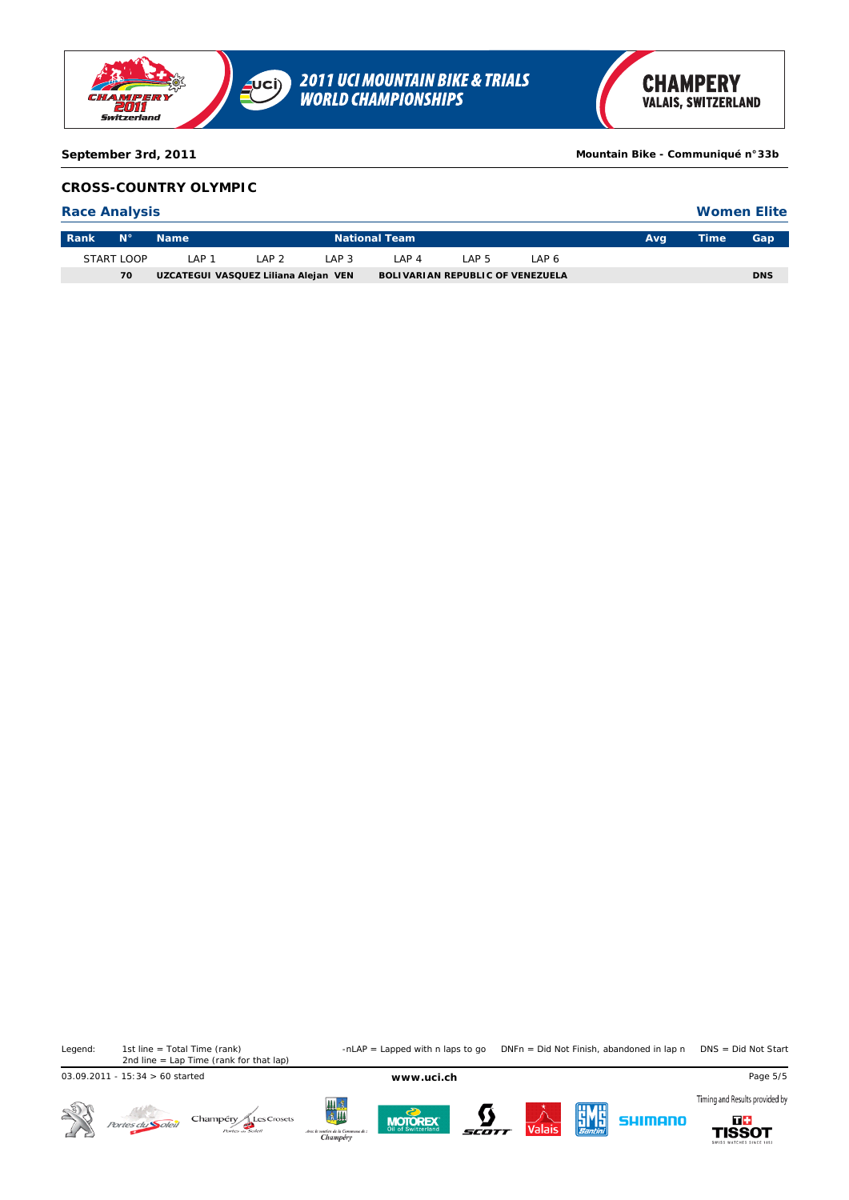

**September 3rd, 2011 Mountain Bike - Communiqué n°33b**

## **CROSS-COUNTRY OLYMPIC**

### **Race Analysis**

| <b>Women Elite</b> |  |
|--------------------|--|
|--------------------|--|

| <b>Rank</b> | <b>N</b> <sup>o</sup> | <b>Name</b>                          |                 | <b>National Team</b> |       |                                         |      |  |  | Gap        |
|-------------|-----------------------|--------------------------------------|-----------------|----------------------|-------|-----------------------------------------|------|--|--|------------|
|             | START LOOP            | AP 1                                 | AP <sub>2</sub> | AP <sub>3</sub>      | _AP_4 | AP <sub>5</sub>                         | AP 6 |  |  |            |
|             | 70                    | UZCATEGUI VASQUEZ Liliana Alejan VEN |                 |                      |       | <b>BOLIVARIAN REPUBLIC OF VENEZUELA</b> |      |  |  | <b>DNS</b> |

1st line = Total Time (rank)<br>2nd line = Lap Time (rank for that lap)

Legend: 1st line = Total Time (rank) -nLAP = Lapped with n laps to go DNFn = Did Not Finish, abandoned in lap n DNS = Did Not Start

03.09.2011 - 15:34 > 60 started **www.uci.ch** Page 5/5

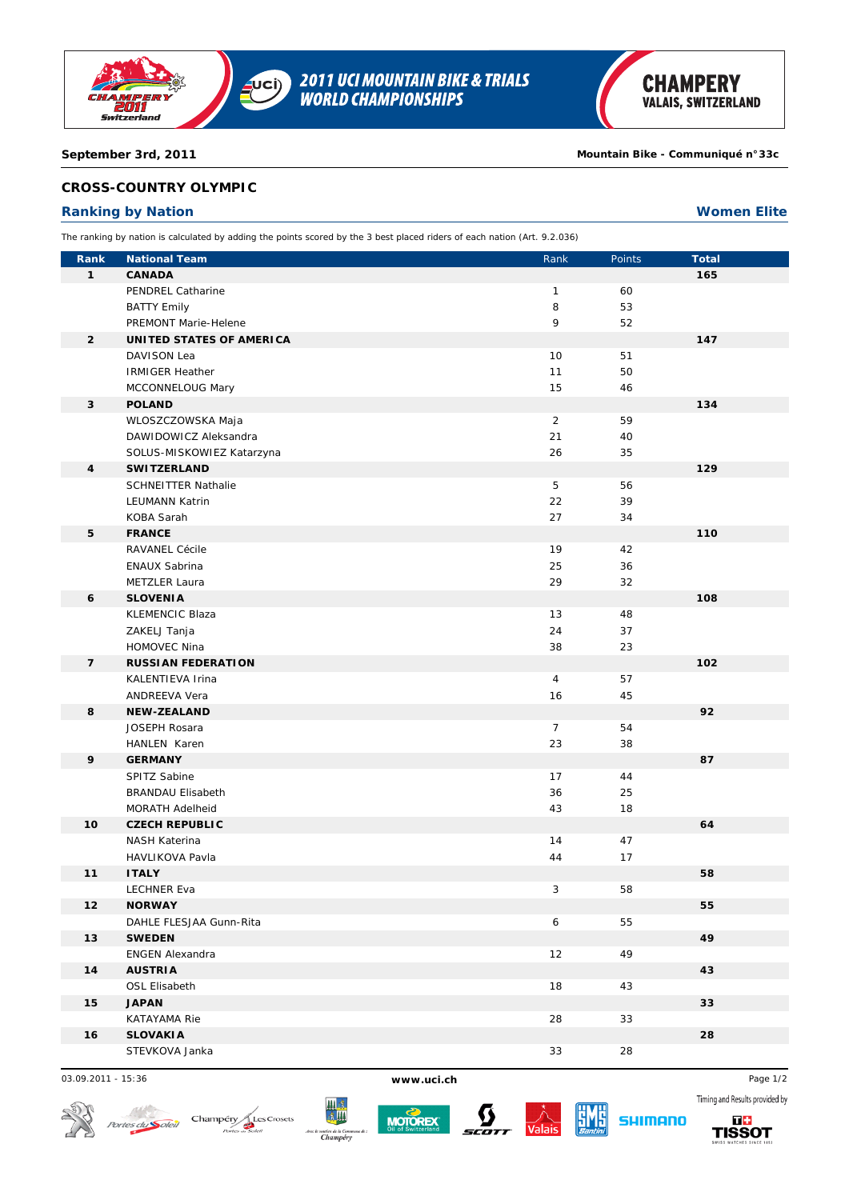

### **September 3rd, 2011 Mountain Bike - Communiqué n°33c**

## **CROSS-COUNTRY OLYMPIC**

## **Ranking by Nation Women Elite**

The ranking by nation is calculated by adding the points scored by the 3 best placed riders of each nation (Art. 9.2.036)

| Rank           | <b>National Team</b>       | Rank           | Points | <b>Total</b> |  |
|----------------|----------------------------|----------------|--------|--------------|--|
| $\mathbf{1}$   | <b>CANADA</b>              |                |        | 165          |  |
|                | PENDREL Catharine          | $\mathbf{1}$   | 60     |              |  |
|                | <b>BATTY Emily</b>         | 8              | 53     |              |  |
|                | PREMONT Marie-Helene       | 9              | 52     |              |  |
| $\overline{2}$ | UNITED STATES OF AMERICA   |                |        | 147          |  |
|                | DAVISON Lea                | 10             | 51     |              |  |
|                | <b>IRMIGER Heather</b>     | 11             | 50     |              |  |
|                | MCCONNELOUG Mary           | 15             | 46     |              |  |
| 3              | <b>POLAND</b>              |                |        | 134          |  |
|                | WLOSZCZOWSKA Maja          | $\overline{2}$ | 59     |              |  |
|                | DAWIDOWICZ Aleksandra      | 21             | 40     |              |  |
|                | SOLUS-MISKOWIEZ Katarzyna  | 26             | 35     |              |  |
| 4              | <b>SWITZERLAND</b>         |                |        | 129          |  |
|                | <b>SCHNEITTER Nathalie</b> | 5              | 56     |              |  |
|                | <b>LEUMANN Katrin</b>      | 22             | 39     |              |  |
|                | KOBA Sarah                 | 27             | 34     |              |  |
| 5              | <b>FRANCE</b>              |                |        | 110          |  |
|                | <b>RAVANEL Cécile</b>      | 19             | 42     |              |  |
|                | <b>ENAUX Sabrina</b>       | 25             | 36     |              |  |
|                | METZLER Laura              | 29             | 32     |              |  |
| 6              | <b>SLOVENIA</b>            |                |        | 108          |  |
|                | <b>KLEMENCIC Blaza</b>     | 13             | 48     |              |  |
|                | ZAKELJ Tanja               | 24             | 37     |              |  |
|                | HOMOVEC Nina               | 38             | 23     |              |  |
| $\overline{7}$ | <b>RUSSIAN FEDERATION</b>  |                |        | 102          |  |
|                | KALENTIEVA Irina           | $\overline{4}$ | 57     |              |  |
|                | ANDREEVA Vera              | 16             | 45     |              |  |
| 8              | <b>NEW-ZEALAND</b>         |                |        | 92           |  |
|                | JOSEPH Rosara              | $\overline{7}$ | 54     |              |  |
|                | HANLEN Karen               | 23             | 38     |              |  |
| 9              | <b>GERMANY</b>             |                |        | 87           |  |
|                | SPITZ Sabine               | 17             | 44     |              |  |
|                | <b>BRANDAU Elisabeth</b>   | 36             | 25     |              |  |
|                | <b>MORATH Adelheid</b>     | 43             | 18     |              |  |
| 10             | <b>CZECH REPUBLIC</b>      |                |        | 64           |  |
|                | <b>NASH Katerina</b>       | 14             | 47     |              |  |
|                | HAVLIKOVA Pavla            | 44             | 17     |              |  |
| 11             | <b>ITALY</b>               |                |        | 58           |  |
|                | <b>LECHNER Eva</b>         | 3              | 58     |              |  |
| 12             | <b>NORWAY</b>              |                |        | 55           |  |
|                | DAHLE FLESJAA Gunn-Rita    | 6              | 55     |              |  |
| 13             | <b>SWEDEN</b>              |                |        | 49           |  |
|                | <b>ENGEN Alexandra</b>     | 12             | 49     |              |  |
| 14             | <b>AUSTRIA</b>             |                |        | 43           |  |
|                | OSL Elisabeth              | 18             | 43     |              |  |
| 15             | <b>JAPAN</b>               |                |        | 33           |  |
|                | KATAYAMA Rie               | 28             | 33     |              |  |
| 16             | <b>SLOVAKIA</b>            |                |        | 28           |  |
|                | STEVKOVA Janka             | 33             | 28     |              |  |

03.09.2011 - 15:36 **www.uci.ch** Page 1/2

 $\mathcal{N}^{\ell}$ 









**SHIMANO** 

Timing and Results provided by 56